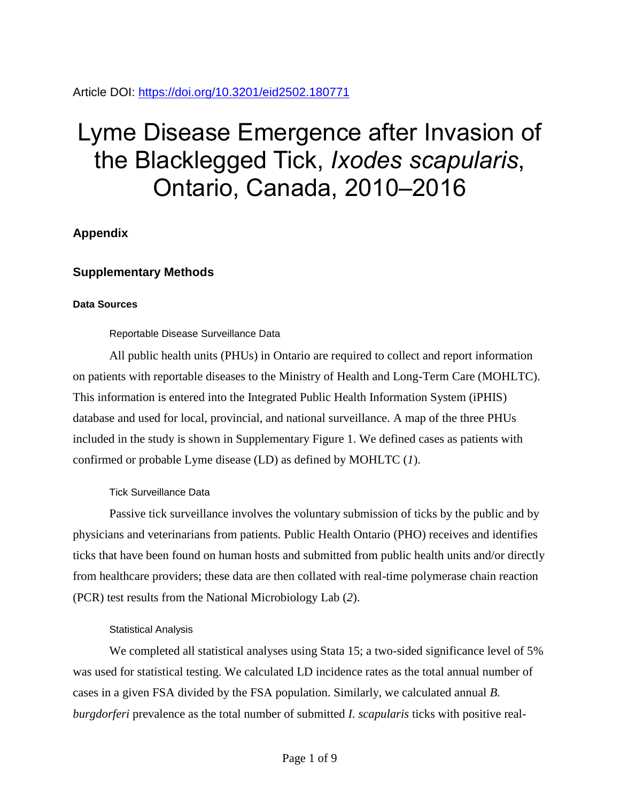Article DOI:<https://doi.org/10.3201/eid2502.180771>

# Lyme Disease Emergence after Invasion of the Blacklegged Tick, *Ixodes scapularis*, Ontario, Canada, 2010–2016

## **Appendix**

## **Supplementary Methods**

### **Data Sources**

Reportable Disease Surveillance Data

All public health units (PHUs) in Ontario are required to collect and report information on patients with reportable diseases to the Ministry of Health and Long-Term Care (MOHLTC). This information is entered into the Integrated Public Health Information System (iPHIS) database and used for local, provincial, and national surveillance. A map of the three PHUs included in the study is shown in Supplementary Figure 1. We defined cases as patients with confirmed or probable Lyme disease (LD) as defined by MOHLTC (*1*).

## Tick Surveillance Data

Passive tick surveillance involves the voluntary submission of ticks by the public and by physicians and veterinarians from patients. Public Health Ontario (PHO) receives and identifies ticks that have been found on human hosts and submitted from public health units and/or directly from healthcare providers; these data are then collated with real-time polymerase chain reaction (PCR) test results from the National Microbiology Lab (*2*).

## Statistical Analysis

We completed all statistical analyses using Stata 15; a two-sided significance level of 5% was used for statistical testing. We calculated LD incidence rates as the total annual number of cases in a given FSA divided by the FSA population. Similarly, we calculated annual *B. burgdorferi* prevalence as the total number of submitted *I. scapularis* ticks with positive real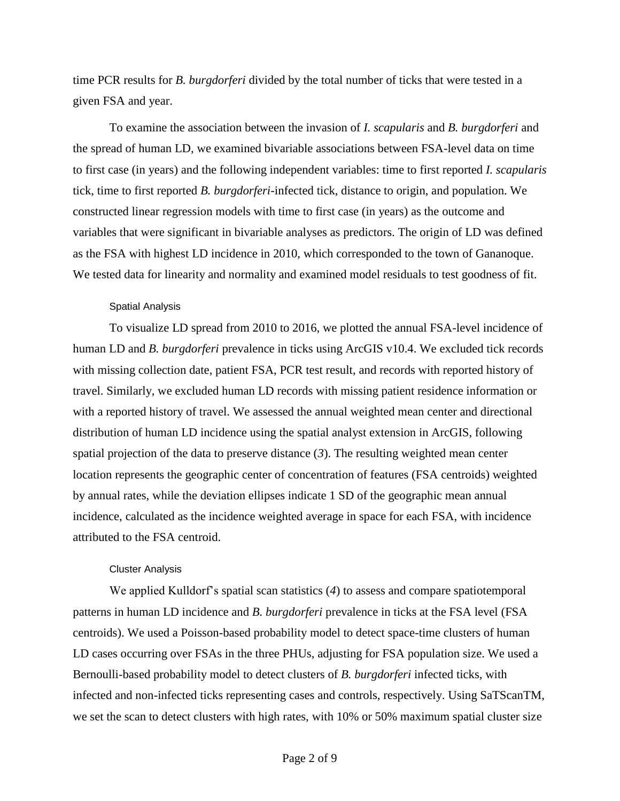time PCR results for *B. burgdorferi* divided by the total number of ticks that were tested in a given FSA and year.

To examine the association between the invasion of *I. scapularis* and *B. burgdorferi* and the spread of human LD, we examined bivariable associations between FSA-level data on time to first case (in years) and the following independent variables: time to first reported *I. scapularis* tick, time to first reported *B. burgdorferi*-infected tick, distance to origin, and population. We constructed linear regression models with time to first case (in years) as the outcome and variables that were significant in bivariable analyses as predictors. The origin of LD was defined as the FSA with highest LD incidence in 2010, which corresponded to the town of Gananoque. We tested data for linearity and normality and examined model residuals to test goodness of fit.

#### Spatial Analysis

To visualize LD spread from 2010 to 2016, we plotted the annual FSA-level incidence of human LD and *B. burgdorferi* prevalence in ticks using ArcGIS v10.4. We excluded tick records with missing collection date, patient FSA, PCR test result, and records with reported history of travel. Similarly, we excluded human LD records with missing patient residence information or with a reported history of travel. We assessed the annual weighted mean center and directional distribution of human LD incidence using the spatial analyst extension in ArcGIS, following spatial projection of the data to preserve distance (*3*). The resulting weighted mean center location represents the geographic center of concentration of features (FSA centroids) weighted by annual rates, while the deviation ellipses indicate 1 SD of the geographic mean annual incidence, calculated as the incidence weighted average in space for each FSA, with incidence attributed to the FSA centroid.

#### Cluster Analysis

We applied Kulldorf's spatial scan statistics (*4*) to assess and compare spatiotemporal patterns in human LD incidence and *B. burgdorferi* prevalence in ticks at the FSA level (FSA centroids). We used a Poisson-based probability model to detect space-time clusters of human LD cases occurring over FSAs in the three PHUs, adjusting for FSA population size. We used a Bernoulli-based probability model to detect clusters of *B. burgdorferi* infected ticks, with infected and non-infected ticks representing cases and controls, respectively. Using SaTScanTM, we set the scan to detect clusters with high rates, with 10% or 50% maximum spatial cluster size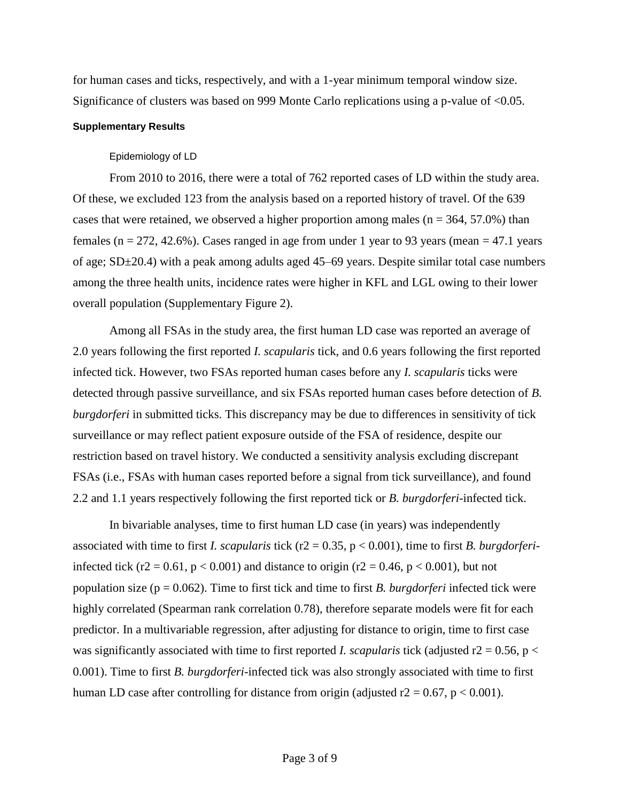for human cases and ticks, respectively, and with a 1-year minimum temporal window size. Significance of clusters was based on 999 Monte Carlo replications using a p-value of <0.05.

#### **Supplementary Results**

## Epidemiology of LD

From 2010 to 2016, there were a total of 762 reported cases of LD within the study area. Of these, we excluded 123 from the analysis based on a reported history of travel. Of the 639 cases that were retained, we observed a higher proportion among males ( $n = 364, 57.0\%$ ) than females ( $n = 272, 42.6\%$ ). Cases ranged in age from under 1 year to 93 years (mean = 47.1 years of age; SD±20.4) with a peak among adults aged 45–69 years. Despite similar total case numbers among the three health units, incidence rates were higher in KFL and LGL owing to their lower overall population (Supplementary Figure 2).

Among all FSAs in the study area, the first human LD case was reported an average of 2.0 years following the first reported *I. scapularis* tick, and 0.6 years following the first reported infected tick. However, two FSAs reported human cases before any *I. scapularis* ticks were detected through passive surveillance, and six FSAs reported human cases before detection of *B. burgdorferi* in submitted ticks. This discrepancy may be due to differences in sensitivity of tick surveillance or may reflect patient exposure outside of the FSA of residence, despite our restriction based on travel history. We conducted a sensitivity analysis excluding discrepant FSAs (i.e., FSAs with human cases reported before a signal from tick surveillance), and found 2.2 and 1.1 years respectively following the first reported tick or *B. burgdorferi*-infected tick.

In bivariable analyses, time to first human LD case (in years) was independently associated with time to first *I. scapularis* tick (r2 = 0.35, p < 0.001), time to first *B. burgdorferi*infected tick (r2 = 0.61,  $p < 0.001$ ) and distance to origin (r2 = 0.46,  $p < 0.001$ ), but not population size (p = 0.062). Time to first tick and time to first *B. burgdorferi* infected tick were highly correlated (Spearman rank correlation 0.78), therefore separate models were fit for each predictor. In a multivariable regression, after adjusting for distance to origin, time to first case was significantly associated with time to first reported *I. scapularis* tick (adjusted  $r2 = 0.56$ ,  $p <$ 0.001). Time to first *B. burgdorferi*-infected tick was also strongly associated with time to first human LD case after controlling for distance from origin (adjusted  $r2 = 0.67$ ,  $p < 0.001$ ).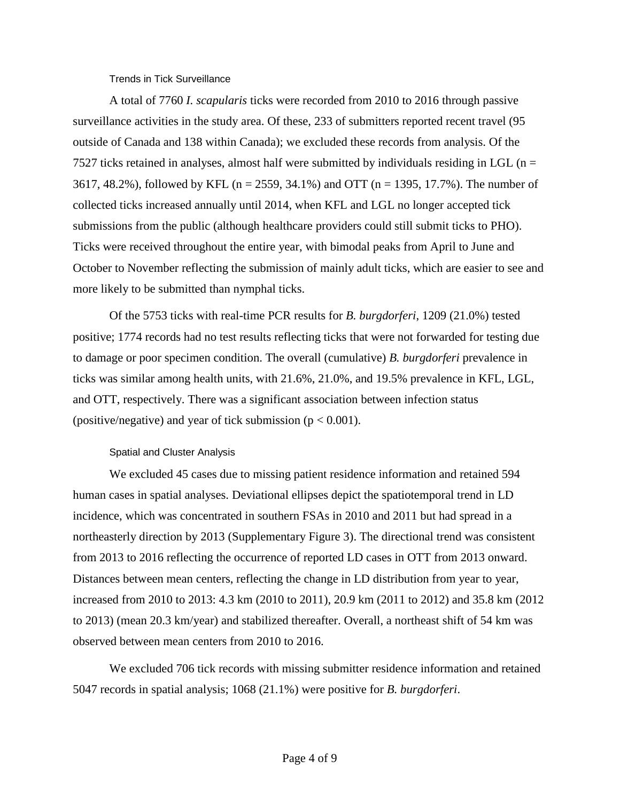Trends in Tick Surveillance

A total of 7760 *I. scapularis* ticks were recorded from 2010 to 2016 through passive surveillance activities in the study area. Of these, 233 of submitters reported recent travel (95 outside of Canada and 138 within Canada); we excluded these records from analysis. Of the 7527 ticks retained in analyses, almost half were submitted by individuals residing in LGL ( $n =$ 3617, 48.2%), followed by KFL (n = 2559, 34.1%) and OTT (n = 1395, 17.7%). The number of collected ticks increased annually until 2014, when KFL and LGL no longer accepted tick submissions from the public (although healthcare providers could still submit ticks to PHO). Ticks were received throughout the entire year, with bimodal peaks from April to June and October to November reflecting the submission of mainly adult ticks, which are easier to see and more likely to be submitted than nymphal ticks.

Of the 5753 ticks with real-time PCR results for *B. burgdorferi*, 1209 (21.0%) tested positive; 1774 records had no test results reflecting ticks that were not forwarded for testing due to damage or poor specimen condition. The overall (cumulative) *B. burgdorferi* prevalence in ticks was similar among health units, with 21.6%, 21.0%, and 19.5% prevalence in KFL, LGL, and OTT, respectively. There was a significant association between infection status (positive/negative) and year of tick submission ( $p < 0.001$ ).

## Spatial and Cluster Analysis

We excluded 45 cases due to missing patient residence information and retained 594 human cases in spatial analyses. Deviational ellipses depict the spatiotemporal trend in LD incidence, which was concentrated in southern FSAs in 2010 and 2011 but had spread in a northeasterly direction by 2013 (Supplementary Figure 3). The directional trend was consistent from 2013 to 2016 reflecting the occurrence of reported LD cases in OTT from 2013 onward. Distances between mean centers, reflecting the change in LD distribution from year to year, increased from 2010 to 2013: 4.3 km (2010 to 2011), 20.9 km (2011 to 2012) and 35.8 km (2012 to 2013) (mean 20.3 km/year) and stabilized thereafter. Overall, a northeast shift of 54 km was observed between mean centers from 2010 to 2016.

We excluded 706 tick records with missing submitter residence information and retained 5047 records in spatial analysis; 1068 (21.1%) were positive for *B. burgdorferi*.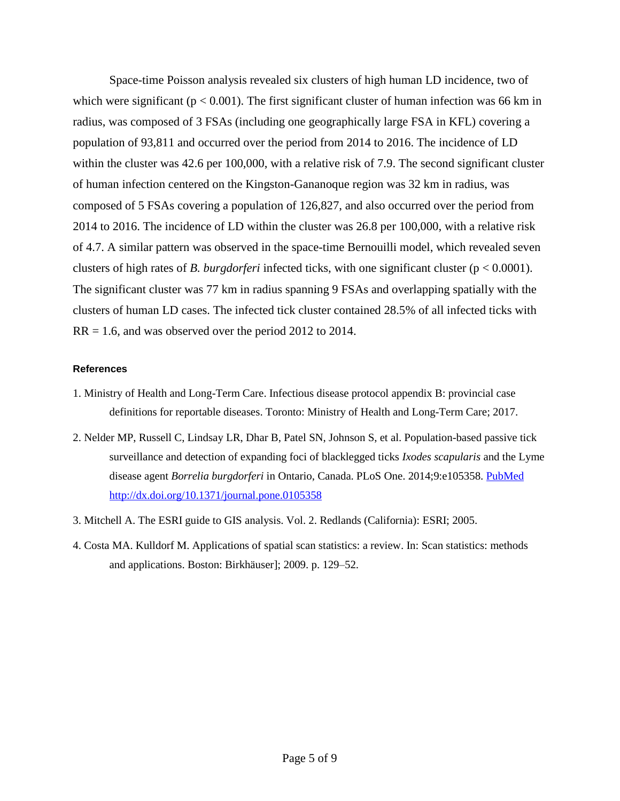Space-time Poisson analysis revealed six clusters of high human LD incidence, two of which were significant ( $p < 0.001$ ). The first significant cluster of human infection was 66 km in radius, was composed of 3 FSAs (including one geographically large FSA in KFL) covering a population of 93,811 and occurred over the period from 2014 to 2016. The incidence of LD within the cluster was 42.6 per 100,000, with a relative risk of 7.9. The second significant cluster of human infection centered on the Kingston-Gananoque region was 32 km in radius, was composed of 5 FSAs covering a population of 126,827, and also occurred over the period from 2014 to 2016. The incidence of LD within the cluster was 26.8 per 100,000, with a relative risk of 4.7. A similar pattern was observed in the space-time Bernouilli model, which revealed seven clusters of high rates of *B. burgdorferi* infected ticks, with one significant cluster (p < 0.0001). The significant cluster was 77 km in radius spanning 9 FSAs and overlapping spatially with the clusters of human LD cases. The infected tick cluster contained 28.5% of all infected ticks with  $RR = 1.6$ , and was observed over the period 2012 to 2014.

#### **References**

- 1. Ministry of Health and Long-Term Care. Infectious disease protocol appendix B: provincial case definitions for reportable diseases. Toronto: Ministry of Health and Long-Term Care; 2017.
- 2. Nelder MP, Russell C, Lindsay LR, Dhar B, Patel SN, Johnson S, et al. Population-based passive tick surveillance and detection of expanding foci of blacklegged ticks *Ixodes scapularis* and the Lyme disease agent *Borrelia burgdorferi* in Ontario, Canada. PLoS One. 2014;9:e105358. [PubMed](https://www.ncbi.nlm.nih.gov/entrez/query.fcgi?cmd=Retrieve&db=PubMed&list_uids=25171252&dopt=Abstract) <http://dx.doi.org/10.1371/journal.pone.0105358>
- 3. Mitchell A. The ESRI guide to GIS analysis. Vol. 2. Redlands (California): ESRI; 2005.
- 4. Costa MA. Kulldorf M. Applications of spatial scan statistics: a review. In: Scan statistics: methods and applications. Boston: Birkhäuser]; 2009. p. 129–52.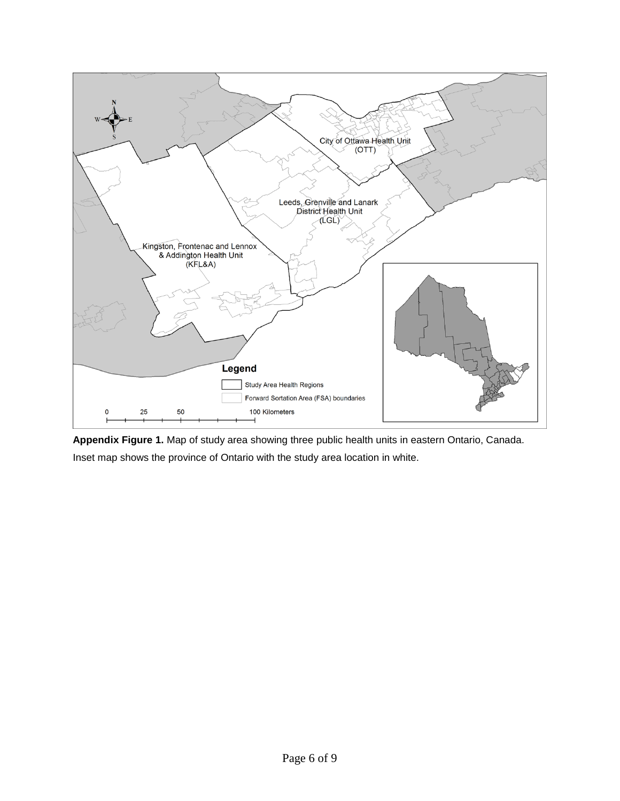

**Appendix Figure 1.** Map of study area showing three public health units in eastern Ontario, Canada. Inset map shows the province of Ontario with the study area location in white.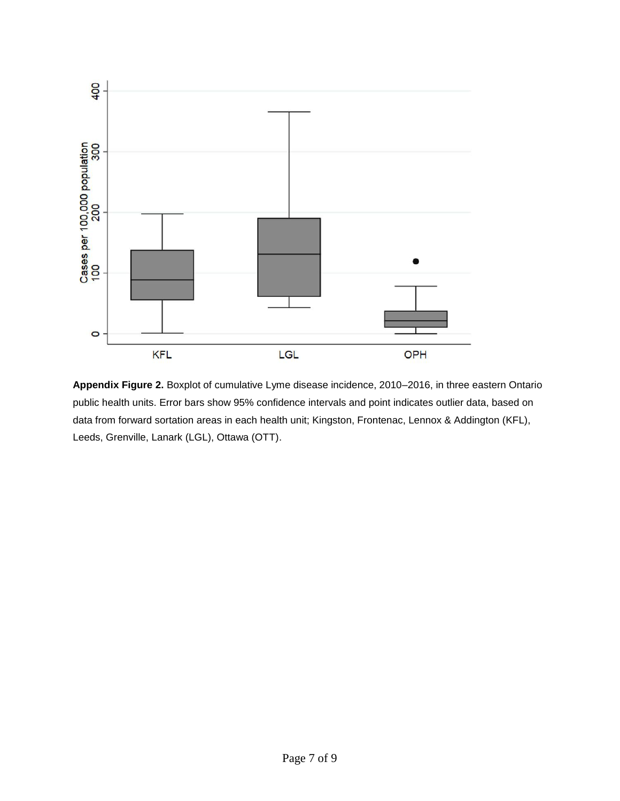

**Appendix Figure 2.** Boxplot of cumulative Lyme disease incidence, 2010–2016, in three eastern Ontario public health units. Error bars show 95% confidence intervals and point indicates outlier data, based on data from forward sortation areas in each health unit; Kingston, Frontenac, Lennox & Addington (KFL), Leeds, Grenville, Lanark (LGL), Ottawa (OTT).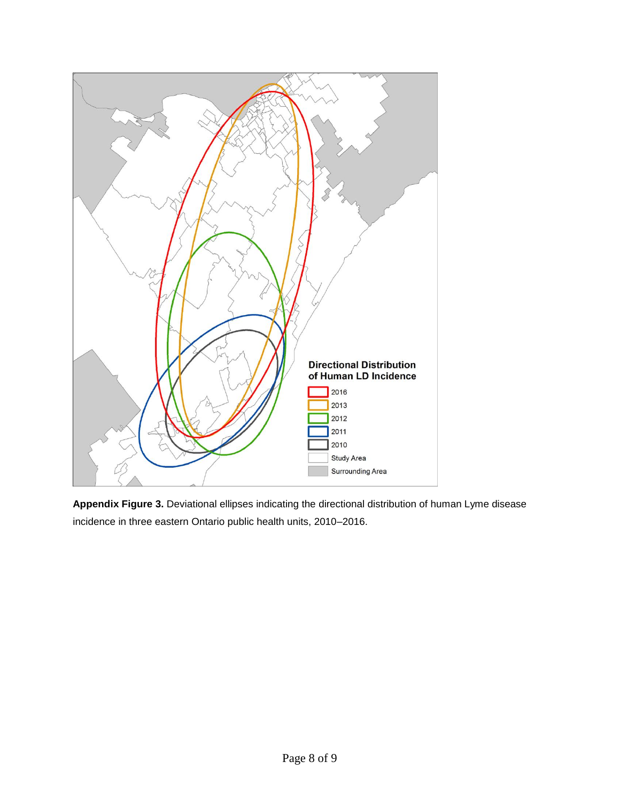

**Appendix Figure 3.** Deviational ellipses indicating the directional distribution of human Lyme disease incidence in three eastern Ontario public health units, 2010–2016.